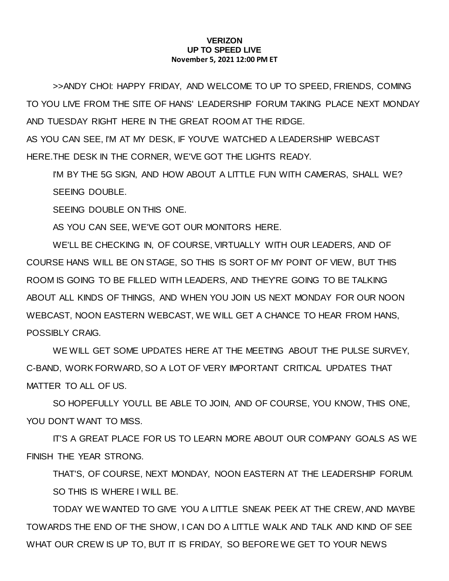## **VERIZON UP TO SPEED LIVE November 5, 2021 12:00 PM ET**

>>ANDY CHOI: HAPPY FRIDAY, AND WELCOME TO UP TO SPEED, FRIENDS, COMING TO YOU LIVE FROM THE SITE OF HANS' LEADERSHIP FORUM TAKING PLACE NEXT MONDAY AND TUESDAY RIGHT HERE IN THE GREAT ROOM AT THE RIDGE.

AS YOU CAN SEE, I'M AT MY DESK, IF YOU'VE WATCHED A LEADERSHIP WEBCAST HERE.THE DESK IN THE CORNER, WE'VE GOT THE LIGHTS READY.

I'M BY THE 5G SIGN, AND HOW ABOUT A LITTLE FUN WITH CAMERAS, SHALL WE? SEEING DOUBLE.

SEEING DOUBLE ON THIS ONE.

AS YOU CAN SEE, WE'VE GOT OUR MONITORS HERE.

WE'LL BE CHECKING IN, OF COURSE, VIRTUALLY WITH OUR LEADERS, AND OF COURSE HANS WILL BE ON STAGE, SO THIS IS SORT OF MY POINT OF VIEW, BUT THIS ROOM IS GOING TO BE FILLED WITH LEADERS, AND THEY'RE GOING TO BE TALKING ABOUT ALL KINDS OF THINGS, AND WHEN YOU JOIN US NEXT MONDAY FOR OUR NOON WEBCAST, NOON EASTERN WEBCAST, WE WILL GET A CHANCE TO HEAR FROM HANS, POSSIBLY CRAIG.

WE WILL GET SOME UPDATES HERE AT THE MEETING ABOUT THE PULSE SURVEY, C-BAND, WORK FORWARD, SO A LOT OF VERY IMPORTANT CRITICAL UPDATES THAT MATTER TO ALL OF US.

SO HOPEFULLY YOU'LL BE ABLE TO JOIN, AND OF COURSE, YOU KNOW, THIS ONE, YOU DON'T WANT TO MISS.

IT'S A GREAT PLACE FOR US TO LEARN MORE ABOUT OUR COMPANY GOALS AS WE FINISH THE YEAR STRONG.

THAT'S, OF COURSE, NEXT MONDAY, NOON EASTERN AT THE LEADERSHIP FORUM. SO THIS IS WHERE I WILL BE.

TODAY WE WANTED TO GIVE YOU A LITTLE SNEAK PEEK AT THE CREW, AND MAYBE TOWARDS THE END OF THE SHOW, I CAN DO A LITTLE WALK AND TALK AND KIND OF SEE WHAT OUR CREW IS UP TO, BUT IT IS FRIDAY, SO BEFORE WE GET TO YOUR NEWS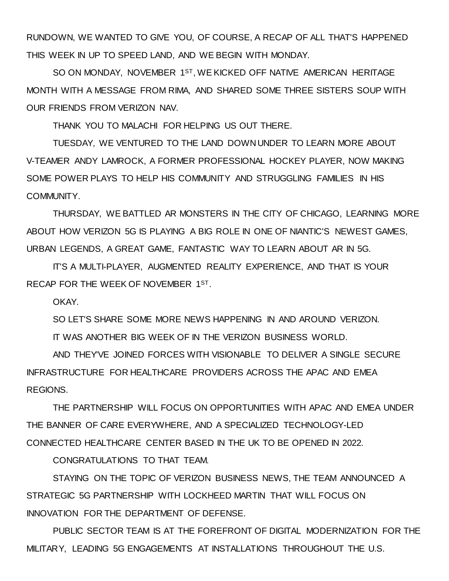RUNDOWN, WE WANTED TO GIVE YOU, OF COURSE, A RECAP OF ALL THAT'S HAPPENED THIS WEEK IN UP TO SPEED LAND, AND WE BEGIN WITH MONDAY.

SO ON MONDAY, NOVEMBER 1ST, WE KICKED OFF NATIVE AMERICAN HERITAGE MONTH WITH A MESSAGE FROM RIMA, AND SHARED SOME THREE SISTERS SOUP WITH OUR FRIENDS FROM VERIZON NAV.

THANK YOU TO MALACHI FOR HELPING US OUT THERE.

TUESDAY, WE VENTURED TO THE LAND DOWN UNDER TO LEARN MORE ABOUT V-TEAMER ANDY LAMROCK, A FORMER PROFESSIONAL HOCKEY PLAYER, NOW MAKING SOME POWER PLAYS TO HELP HIS COMMUNITY AND STRUGGLING FAMILIES IN HIS COMMUNITY.

THURSDAY, WE BATTLED AR MONSTERS IN THE CITY OF CHICAGO, LEARNING MORE ABOUT HOW VERIZON 5G IS PLAYING A BIG ROLE IN ONE OF NIANTIC'S NEWEST GAMES, URBAN LEGENDS, A GREAT GAME, FANTASTIC WAY TO LEARN ABOUT AR IN 5G.

IT'S A MULTI-PLAYER, AUGMENTED REALITY EXPERIENCE, AND THAT IS YOUR RECAP FOR THE WEEK OF NOVEMBER 1ST.

OKAY.

SO LET'S SHARE SOME MORE NEWS HAPPENING IN AND AROUND VERIZON.

IT WAS ANOTHER BIG WEEK OF IN THE VERIZON BUSINESS WORLD.

AND THEY'VE JOINED FORCES WITH VISIONABLE TO DELIVER A SINGLE SECURE INFRASTRUCTURE FOR HEALTHCARE PROVIDERS ACROSS THE APAC AND EMEA REGIONS.

THE PARTNERSHIP WILL FOCUS ON OPPORTUNITIES WITH APAC AND EMEA UNDER THE BANNER OF CARE EVERYWHERE, AND A SPECIALIZED TECHNOLOGY-LED CONNECTED HEALTHCARE CENTER BASED IN THE UK TO BE OPENED IN 2022.

CONGRATULATIONS TO THAT TEAM.

STAYING ON THE TOPIC OF VERIZON BUSINESS NEWS, THE TEAM ANNOUNCED A STRATEGIC 5G PARTNERSHIP WITH LOCKHEED MARTIN THAT WILL FOCUS ON INNOVATION FOR THE DEPARTMENT OF DEFENSE.

PUBLIC SECTOR TEAM IS AT THE FOREFRONT OF DIGITAL MODERNIZATION FOR THE MILITARY, LEADING 5G ENGAGEMENTS AT INSTALLATIONS THROUGHOUT THE U.S.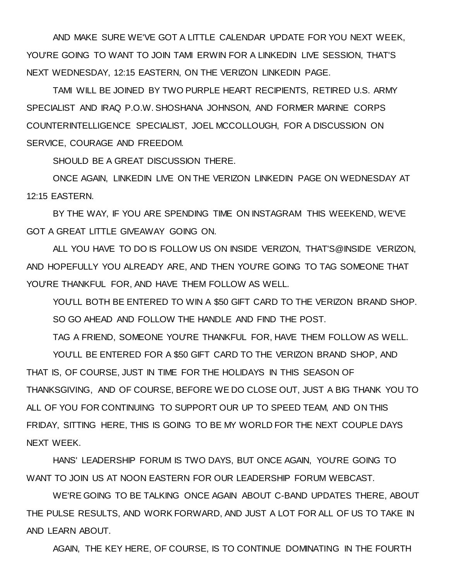AND MAKE SURE WE'VE GOT A LITTLE CALENDAR UPDATE FOR YOU NEXT WEEK, YOU'RE GOING TO WANT TO JOIN TAMI ERWIN FOR A LINKEDIN LIVE SESSION, THAT'S NEXT WEDNESDAY, 12:15 EASTERN, ON THE VERIZON LINKEDIN PAGE.

TAMI WILL BE JOINED BY TWO PURPLE HEART RECIPIENTS, RETIRED U.S. ARMY SPECIALIST AND IRAQ P.O.W. SHOSHANA JOHNSON, AND FORMER MARINE CORPS COUNTERINTELLIGENCE SPECIALIST, JOEL MCCOLLOUGH, FOR A DISCUSSION ON SERVICE, COURAGE AND FREEDOM.

SHOULD BE A GREAT DISCUSSION THERE.

ONCE AGAIN, LINKEDIN LIVE ON THE VERIZON LINKEDIN PAGE ON WEDNESDAY AT 12:15 EASTERN.

BY THE WAY, IF YOU ARE SPENDING TIME ON INSTAGRAM THIS WEEKEND, WE'VE GOT A GREAT LITTLE GIVEAWAY GOING ON.

ALL YOU HAVE TO DO IS FOLLOW US ON INSIDE VERIZON, THAT'S@INSIDE VERIZON, AND HOPEFULLY YOU ALREADY ARE, AND THEN YOU'RE GOING TO TAG SOMEONE THAT YOU'RE THANKFUL FOR, AND HAVE THEM FOLLOW AS WELL.

YOU'LL BOTH BE ENTERED TO WIN A \$50 GIFT CARD TO THE VERIZON BRAND SHOP. SO GO AHEAD AND FOLLOW THE HANDLE AND FIND THE POST.

TAG A FRIEND, SOMEONE YOU'RE THANKFUL FOR, HAVE THEM FOLLOW AS WELL.

YOU'LL BE ENTERED FOR A \$50 GIFT CARD TO THE VERIZON BRAND SHOP, AND THAT IS, OF COURSE, JUST IN TIME FOR THE HOLIDAYS IN THIS SEASON OF THANKSGIVING, AND OF COURSE, BEFORE WE DO CLOSE OUT, JUST A BIG THANK YOU TO ALL OF YOU FOR CONTINUING TO SUPPORT OUR UP TO SPEED TEAM, AND ON THIS FRIDAY, SITTING HERE, THIS IS GOING TO BE MY WORLD FOR THE NEXT COUPLE DAYS NEXT WEEK.

HANS' LEADERSHIP FORUM IS TWO DAYS, BUT ONCE AGAIN, YOU'RE GOING TO WANT TO JOIN US AT NOON EASTERN FOR OUR LEADERSHIP FORUM WEBCAST.

WE'RE GOING TO BE TALKING ONCE AGAIN ABOUT C-BAND UPDATES THERE, ABOUT THE PULSE RESULTS, AND WORK FORWARD, AND JUST A LOT FOR ALL OF US TO TAKE IN AND LEARN ABOUT.

AGAIN, THE KEY HERE, OF COURSE, IS TO CONTINUE DOMINATING IN THE FOURTH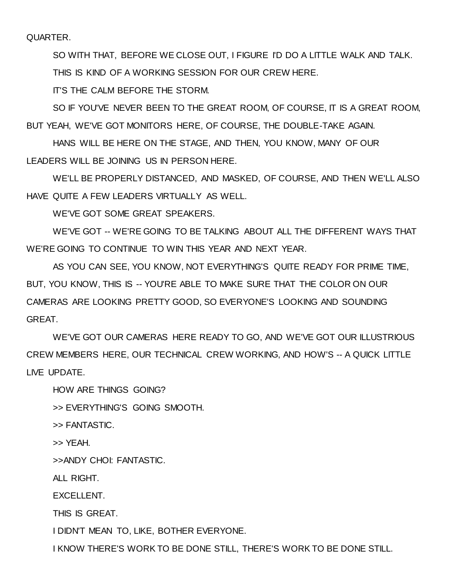QUARTER.

SO WITH THAT, BEFORE WE CLOSE OUT, I FIGURE I'D DO A LITTLE WALK AND TALK.

THIS IS KIND OF A WORKING SESSION FOR OUR CREW HERE.

IT'S THE CALM BEFORE THE STORM.

SO IF YOU'VE NEVER BEEN TO THE GREAT ROOM, OF COURSE, IT IS A GREAT ROOM, BUT YEAH, WE'VE GOT MONITORS HERE, OF COURSE, THE DOUBLE-TAKE AGAIN.

HANS WILL BE HERE ON THE STAGE, AND THEN, YOU KNOW, MANY OF OUR LEADERS WILL BE JOINING US IN PERSON HERE.

WE'LL BE PROPERLY DISTANCED, AND MASKED, OF COURSE, AND THEN WE'LL ALSO HAVE QUITE A FEW LEADERS VIRTUALLY AS WELL.

WE'VE GOT SOME GREAT SPEAKERS.

WE'VE GOT -- WE'RE GOING TO BE TALKING ABOUT ALL THE DIFFERENT WAYS THAT WE'RE GOING TO CONTINUE TO WIN THIS YEAR AND NEXT YEAR.

AS YOU CAN SEE, YOU KNOW, NOT EVERYTHING'S QUITE READY FOR PRIME TIME, BUT, YOU KNOW, THIS IS -- YOU'RE ABLE TO MAKE SURE THAT THE COLOR ON OUR CAMERAS ARE LOOKING PRETTY GOOD, SO EVERYONE'S LOOKING AND SOUNDING GREAT.

WE'VE GOT OUR CAMERAS HERE READY TO GO, AND WE'VE GOT OUR ILLUSTRIOUS CREW MEMBERS HERE, OUR TECHNICAL CREW WORKING, AND HOW'S -- A QUICK LITTLE LIVE UPDATE.

HOW ARE THINGS GOING?

>> EVERYTHING'S GOING SMOOTH.

>> FANTASTIC.

>> YEAH.

>>ANDY CHOI: FANTASTIC.

ALL RIGHT.

EXCELLENT.

THIS IS GREAT.

I DIDN'T MEAN TO, LIKE, BOTHER EVERYONE.

I KNOW THERE'S WORK TO BE DONE STILL, THERE'S WORK TO BE DONE STILL.